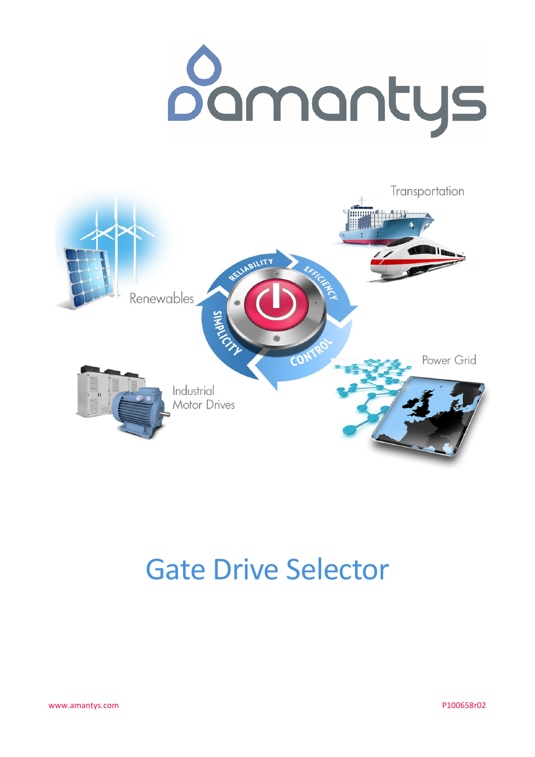



# **Gate Drive Selector**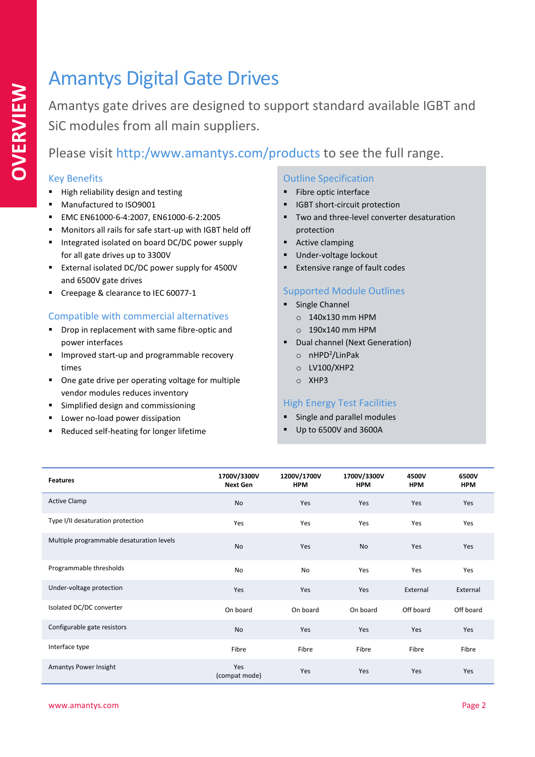### Amantys Digital Gate Drives

Amantys gate drives are designed to support standard available IGBT and SiC modules from all main suppliers.

Please visit http:/www.amantys.com/products to see the full range.

#### Key Benefits

- High reliability design and testing
- Manufactured to ISO9001
- EMC EN61000-6-4:2007, EN61000-6-2:2005
- Monitors all rails for safe start-up with IGBT held off
- Integrated isolated on board DC/DC power supply for all gate drives up to 3300V
- **External isolated DC/DC power supply for 4500V** and 6500V gate drives
- Creepage & clearance to IEC 60077-1

#### Compatible with commercial alternatives

- Drop in replacement with same fibre-optic and power interfaces
- **IMPROVED START-UP and programmable recovery** times
- One gate drive per operating voltage for multiple vendor modules reduces inventory
- **EXECUTE:** Simplified design and commissioning
- **Lower no-load power dissipation**
- Reduced self-heating for longer lifetime

#### Outline Specification

- **Fibre optic interface**
- **IGBT** short-circuit protection
- **Two and three-level converter desaturation** protection
- **Active clamping**
- Under-voltage lockout
- Extensive range of fault codes

#### Supported Module Outlines

- **Single Channel** 
	- o 140x130 mm HPM
	- o 190x140 mm HPM
- Dual channel (Next Generation) o nHPD<sup>2</sup> /LinPak
	- o LV100/XHP2
	- o XHP3

#### High Energy Test Facilities

- **Single and parallel modules**
- Up to 6500V and 3600A

| <b>Features</b>                           | 1700V/3300V<br><b>Next Gen</b> | 1200V/1700V<br><b>HPM</b> | 1700V/3300V<br><b>HPM</b> | 4500V<br><b>HPM</b> | 6500V<br><b>HPM</b> |
|-------------------------------------------|--------------------------------|---------------------------|---------------------------|---------------------|---------------------|
| <b>Active Clamp</b>                       | No                             | Yes                       | Yes                       | Yes                 | Yes                 |
| Type I/II desaturation protection         | Yes                            | Yes                       | Yes                       | Yes                 | Yes                 |
| Multiple programmable desaturation levels | No                             | Yes                       | No                        | Yes                 | Yes                 |
| Programmable thresholds                   | No                             | No                        | Yes                       | Yes                 | Yes                 |
| Under-voltage protection                  | Yes                            | Yes                       | Yes                       | External            | External            |
| Isolated DC/DC converter                  | On board                       | On board                  | On board                  | Off board           | Off board           |
| Configurable gate resistors               | No                             | Yes                       | Yes                       | Yes                 | Yes                 |
| Interface type                            | Fibre                          | Fibre                     | Fibre                     | Fibre               | Fibre               |
| Amantys Power Insight                     | Yes<br>(compat mode)           | Yes                       | Yes                       | Yes                 | Yes                 |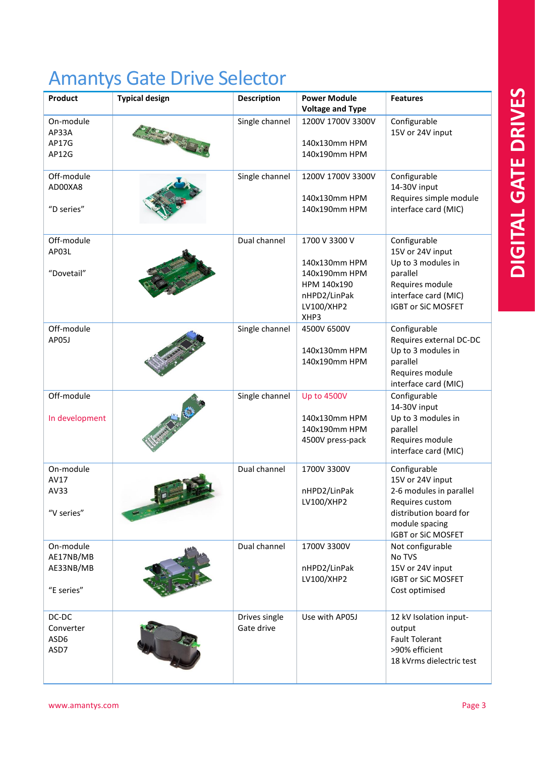### Amantys Gate Drive Selector

| Product                                           | <b>Typical design</b> | <b>Description</b>          | <b>Power Module</b><br><b>Voltage and Type</b>                                                       | <b>Features</b>                                                                                                                                         |
|---------------------------------------------------|-----------------------|-----------------------------|------------------------------------------------------------------------------------------------------|---------------------------------------------------------------------------------------------------------------------------------------------------------|
| On-module<br>AP33A<br>AP17G<br>AP12G              |                       | Single channel              | 1200V 1700V 3300V<br>140x130mm HPM<br>140x190mm HPM                                                  | Configurable<br>15V or 24V input                                                                                                                        |
| Off-module<br>AD00XA8<br>"D series"               |                       | Single channel              | 1200V 1700V 3300V<br>140x130mm HPM<br>140x190mm HPM                                                  | Configurable<br>14-30V input<br>Requires simple module<br>interface card (MIC)                                                                          |
| Off-module<br>AP03L<br>"Dovetail"                 |                       | Dual channel                | 1700 V 3300 V<br>140x130mm HPM<br>140x190mm HPM<br>HPM 140x190<br>nHPD2/LinPak<br>LV100/XHP2<br>XHP3 | Configurable<br>15V or 24V input<br>Up to 3 modules in<br>parallel<br>Requires module<br>interface card (MIC)<br><b>IGBT or SiC MOSFET</b>              |
| Off-module<br>AP05J                               |                       | Single channel              | 4500V 6500V<br>140x130mm HPM<br>140x190mm HPM                                                        | Configurable<br>Requires external DC-DC<br>Up to 3 modules in<br>parallel<br>Requires module<br>interface card (MIC)                                    |
| Off-module<br>In development                      |                       | Single channel              | <b>Up to 4500V</b><br>140x130mm HPM<br>140x190mm HPM<br>4500V press-pack                             | Configurable<br>14-30V input<br>Up to 3 modules in<br>parallel<br>Requires module<br>interface card (MIC)                                               |
| On-module<br>AV17<br>AV33<br>"V series"           |                       | Dual channel                | 1700V 3300V<br>nHPD2/LinPak<br>LV100/XHP2                                                            | Configurable<br>15V or 24V input<br>2-6 modules in parallel<br>Requires custom<br>distribution board for<br>module spacing<br><b>IGBT or SiC MOSFET</b> |
| On-module<br>AE17NB/MB<br>AE33NB/MB<br>"E series" |                       | Dual channel                | 1700V 3300V<br>nHPD2/LinPak<br>LV100/XHP2                                                            | Not configurable<br>No TVS<br>15V or 24V input<br><b>IGBT or SiC MOSFET</b><br>Cost optimised                                                           |
| DC-DC<br>Converter<br>ASD6<br>ASD7                |                       | Drives single<br>Gate drive | Use with AP05J                                                                                       | 12 kV Isolation input-<br>output<br><b>Fault Tolerant</b><br>>90% efficient<br>18 kVrms dielectric test                                                 |